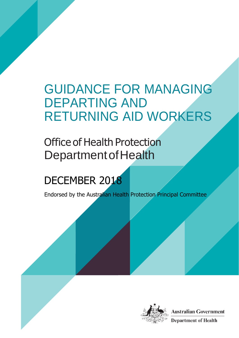## GUIDANCE FOR MANAGING DEPARTING AND RETURNING AID WORKERS

## Office of Health Protection Department of Health

# DECEMBER 2018

Endorsed by the Australian Health Protection Principal Committee

**1**



**Australian Government Department of Health**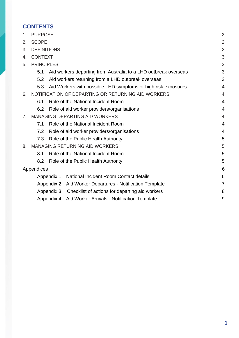## **CONTENTS**

| 1. | <b>PURPOSE</b>                                    |                                                                 |                                                               |   |  |  |  |  |  |  |
|----|---------------------------------------------------|-----------------------------------------------------------------|---------------------------------------------------------------|---|--|--|--|--|--|--|
| 2. | <b>SCOPE</b>                                      |                                                                 |                                                               |   |  |  |  |  |  |  |
| 3. | <b>DEFINITIONS</b>                                |                                                                 |                                                               |   |  |  |  |  |  |  |
| 4. | <b>CONTEXT</b>                                    |                                                                 |                                                               |   |  |  |  |  |  |  |
| 5. | <b>PRINCIPLES</b>                                 |                                                                 |                                                               |   |  |  |  |  |  |  |
|    | 5.1                                               | Aid workers departing from Australia to a LHD outbreak overseas |                                                               |   |  |  |  |  |  |  |
|    | 5.2                                               | Aid workers returning from a LHD outbreak overseas              |                                                               |   |  |  |  |  |  |  |
|    | 5.3                                               |                                                                 | Aid Workers with possible LHD symptoms or high risk exposures | 4 |  |  |  |  |  |  |
| 6. |                                                   |                                                                 | NOTIFICATION OF DEPARTING OR RETURNING AID WORKERS            | 4 |  |  |  |  |  |  |
|    | 6.1                                               |                                                                 | Role of the National Incident Room                            | 4 |  |  |  |  |  |  |
|    | 6.2                                               |                                                                 | Role of aid worker providers/organisations                    | 4 |  |  |  |  |  |  |
| 7. |                                                   |                                                                 | <b>MANAGING DEPARTING AID WORKERS</b>                         | 4 |  |  |  |  |  |  |
|    | Role of the National Incident Room<br>7.1         |                                                                 |                                                               |   |  |  |  |  |  |  |
|    | 7.2<br>Role of aid worker providers/organisations |                                                                 |                                                               |   |  |  |  |  |  |  |
|    | 7.3                                               |                                                                 | Role of the Public Health Authority                           | 5 |  |  |  |  |  |  |
| 8. |                                                   |                                                                 | <b>MANAGING RETURNING AID WORKERS</b>                         | 5 |  |  |  |  |  |  |
|    | 8.1                                               |                                                                 | Role of the National Incident Room                            | 5 |  |  |  |  |  |  |
|    | 8.2                                               |                                                                 | Role of the Public Health Authority                           | 5 |  |  |  |  |  |  |
|    | Appendices                                        |                                                                 |                                                               | 6 |  |  |  |  |  |  |
|    |                                                   | Appendix 1                                                      | National Incident Room Contact details                        | 6 |  |  |  |  |  |  |
|    |                                                   | Appendix 2                                                      | Aid Worker Departures - Notification Template                 | 7 |  |  |  |  |  |  |
|    |                                                   | Appendix 3                                                      | Checklist of actions for departing aid workers                | 8 |  |  |  |  |  |  |
|    |                                                   | Appendix 4                                                      | Aid Worker Arrivals - Notification Template                   | 9 |  |  |  |  |  |  |
|    |                                                   |                                                                 |                                                               |   |  |  |  |  |  |  |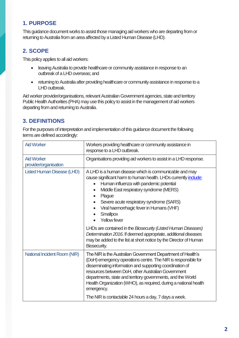## <span id="page-2-0"></span>**1. PURPOSE**

This guidance document works to assist those managing aid workers who are departing from or returning to Australia from an area affected bya Listed Human Disease (LHD).

## <span id="page-2-1"></span>**2. SCOPE**

This policy applies to all aid workers:

- **.** leaving Australia to provide healthcare or community assistance in response to an outbreak of a LHD overseas; and
- returning to Australia after providing healthcare or community assistance in response to a LHD outbreak.

Aid worker provider/organisations, relevant Australian Government agencies, state and territory Public Health Authorities (PHA) may use this policy to assist in the management of aid workers departing from and returning to Australia.

## <span id="page-2-2"></span>**3. DEFINITIONS**

For the purposes of interpretation and implementation of this guidance document the following terms are defined accordingly:

| <b>Aid Worker</b>                          | Workers providing healthcare or community assistance in<br>response to a LHD outbreak.                                                                                                                                                                                                                                                                                                          |  |  |  |  |  |  |
|--------------------------------------------|-------------------------------------------------------------------------------------------------------------------------------------------------------------------------------------------------------------------------------------------------------------------------------------------------------------------------------------------------------------------------------------------------|--|--|--|--|--|--|
| <b>Aid Worker</b><br>provider/organisation | Organisations providing aid workers to assist in a LHD response.                                                                                                                                                                                                                                                                                                                                |  |  |  |  |  |  |
| <b>Listed Human Disease (LHD)</b>          | A LHD is a human disease which is communicable and may<br>cause significant harm to human health. LHDs currently include:<br>Human influenza with pandemic potential<br>$\bullet$<br>Middle East respiratory syndrome (MERS)<br>Plague<br>Severe acute respiratory syndrome (SARS)<br>Viral haemorrhagic fever in Humans (VHF)<br><b>Smallpox</b><br><b>Yellow fever</b>                        |  |  |  |  |  |  |
|                                            | LHDs are contained in the Biosecurity (Listed Human Diseases)<br>Determination 2016. If deemed appropriate, additional diseases<br>may be added to the list at short notice by the Director of Human<br>Biosecurity.                                                                                                                                                                            |  |  |  |  |  |  |
| National Incident Room (NIR)               | The NIR is the Australian Government Department of Health's<br>(DoH) emergency operations centre. The NIR is responsible for<br>disseminating information and supporting coordination of<br>resources between DoH, other Australian Government<br>departments, state and territory governments, and the World<br>Health Organization (WHO), as required, during a national health<br>emergency. |  |  |  |  |  |  |
|                                            | The NIR is contactable 24 hours a day, 7 days a week.                                                                                                                                                                                                                                                                                                                                           |  |  |  |  |  |  |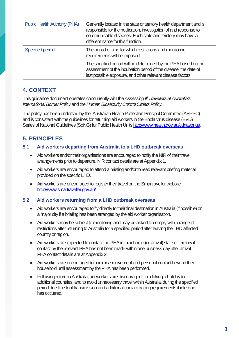| <b>Public Health Authority (PHA)</b> | Generally located in the state or territory health department and is<br>responsible for the notification, investigation of and response to<br>communicable diseases. Each state and territory may have a<br>different name for this function. |
|--------------------------------------|-----------------------------------------------------------------------------------------------------------------------------------------------------------------------------------------------------------------------------------------------|
| <b>Specified period</b>              | The period of time for which restrictions and monitoring<br>requirements will be imposed.                                                                                                                                                     |
|                                      | The specified period will be determined by the PHA based on the<br>assessment of the incubation period of the disease, the date of<br>last possible exposure, and other relevant disease factors.                                             |

## <span id="page-3-0"></span>**4. CONTEXT**

This guidance document operates concurrently with the *Assessing Ill Travellers at Australia's*  **International Border Policy and the Human Biosecurity Control Orders Policy.** 

The policy has been endorsed by the Australian Health Protection Principal Committee (AHPPC) and is consistent with the guidelines for returning aid workers in the Ebola virus disease (EVD) Series of National Guidelines (SoNG) for Public Health Unit[s http://www.health.gov.au/cdnasongs.](http://www.health.gov.au/cdnasongs)

## <span id="page-3-1"></span>**5. PRINCIPLES**

#### <span id="page-3-2"></span>**5.1 Aid workers departing from Australia to a LHD outbreak overseas**

- Aid workers and/or their organisations are encouraged to notify the NIR of their travel arrangements prior to departure. NIR contact details are at Appendix 1.
- Aid workers are encouraged to attend a briefing and/or to read relevant briefing material provided on the specific LHD.
- Aid workers are encouraged to register their travel on the Smartraveller website <http://www.smartraveller.gov.au/>

#### <span id="page-3-3"></span>**5.2 Aid workers returning from a LHD outbreak overseas**

- Aid workers are encouraged to fly directly to their final destination in Australia (if possible) or a major city if a briefing has been arranged by the aid worker organisation.
- Aid workers may be subject to monitoring and may be asked to comply with a range of restrictions after returning to Australia for a specified period after leaving the LHD affected country or region.
- Aid workers are expected to contact the PHA in their home (or arrival) state or territory if contact by the relevant PHA has not been made within one business dayafter arrival. PHA contact details are at Appendix 2.
- Aid workers are encouraged to minimise movement and personal contact beyond their household until assessment by the PHA has been performed.
- Following return to Australia, aid workers are discouraged from taking a holiday to additional countries, and to avoid unnecessary travel within Australia, during the specified period due to risk of transmission and additional contact tracing requirements if infection has occurred.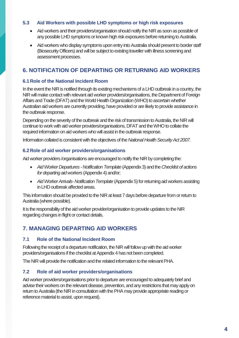#### <span id="page-4-0"></span>**5.3 Aid Workers with possible LHD symptoms or high risk exposures**

- Aid workers and their providers/organisation should notify the NIR as soon as possible of any possible LHD symptoms or known high risk exposures before returning to Australia.
- Aid workers who display symptoms upon entry into Australia should present to border staff (Biosecurity Officers) and will be subject to existing traveller with illness screening and assessment processes.

## <span id="page-4-1"></span>**6. NOTIFICATION OF DEPARTING OR RETURNING AID WORKERS**

#### <span id="page-4-2"></span>**6.1Role of the National Incident Room**

In the event the NIR is notified through its existing mechanisms of a LHD outbreak in a country, the NIR will make contact with relevant aid worker providers/organisations, the Department of Foreign Affairs and Trade (DFAT) and the World Health Organization (WHO) to ascertain whether Australian aid workers are currently providing, have provided or are likely to provide assistance in the outbreak response.

Depending on the severity of the outbreak and the risk of transmission to Australia, the NIR will continue to work with aid worker providers/organisations, DFAT and the WHO to collate the required information on aid workers who will assist in the outbreak response.

Information collated is consistent with the objectives of the *National Health Security Act 2007.*

#### <span id="page-4-3"></span>**6.2Role of aid worker providers/organisations**

Aid worker providers /organisations are encouraged to notify the NIR by completing the:

- *Aid Worker Departures -Notification Template* (Appendix 3) and the *Checklist of actions for departing aid workers* (Appendix 4) and/or;
- Aid Worker Arrivals-Notification Template (Appendix 5) for returning aid workers assisting in LHD outbreak affected areas.

This information should be provided to the NIR at least 7 days before departure from or return to Australia (where possible).

It is the responsibility of the aid worker provider/organisation to provide updates to the NIR regarding changes in flight or contact details.

## <span id="page-4-4"></span>**7. MANAGING DEPARTING AID WORKERS**

#### <span id="page-4-5"></span>**7.1 Role of the National Incident Room**

Following the receipt of a departure notification, the NIR will follow up with the aid worker providers/organisations if the checklist at Appendix 4 has not been completed.

The NIR will provide the notification and the related information to the relevant PHA.

#### <span id="page-4-6"></span>**7.2 Role of aid worker providers/organisations**

Aid worker providers/organisations prior to departure are encouraged to adequately brief and advise their workers on the relevant disease, prevention, and any restrictions that may apply on return to Australia (the NIR in consultation with the PHA may provide appropriate reading or reference material to assist, upon request).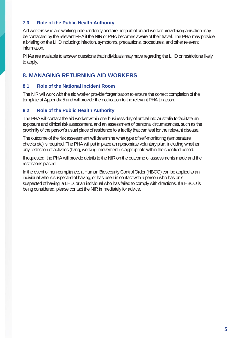#### <span id="page-5-0"></span>**7.3 Role of the Public Health Authority**

Aid workers who are working independently and are not part of an aid worker provider/organisation may be contacted by the relevant PHA if the NIR or PHA becomes aware of their travel. The PHA may provide a briefing on the LHD including; infection, symptoms, precautions, procedures, and other relevant information.

PHAs are available to answer questions that individuals may have regarding the LHD or restrictions likely to apply.

### <span id="page-5-1"></span>**8. MANAGING RETURNING AID WORKERS**

#### <span id="page-5-2"></span>**8.1 Role of the National Incident Room**

The NIR will work with the aid worker provider/organisation to ensure the correct completion of the template at Appendix 5 and will provide the notification to the relevant PHA to action.

#### <span id="page-5-3"></span>**8.2 Role of the Public Health Authority**

The PHA will contact the aid worker within one business day of arrival into Australia to facilitate an exposure and clinical risk assessment, and an assessment of personal circumstances, such as the proximity of the person's usual place of residence to a facility that can test for the relevant disease.

The outcome of the risk assessment will determine what type of self-monitoring (temperature checks etc) is required. The PHA will put in place an appropriate voluntary plan, including whether any restriction of activities (living, working, movement) is appropriate within the specified period.

If requested, the PHA will provide details to the NIR on the outcome of assessments made and the restrictions placed.

In the event of non-compliance, a Human Biosecurity Control Order (HBCO) can be applied to an individual who is suspected of having, or has been in contact with a person who has or is suspected of having, a LHD, or an individual who has failed to comply with directions. If a HBCO is being considered, please contact the NIR immediately for advice.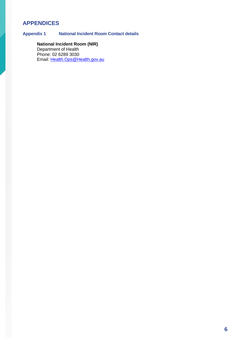## <span id="page-6-0"></span>**APPENDICES**

<span id="page-6-1"></span>**Appendix 1 National Incident Room Contact details**

### **National Incident Room (NIR)**

Department of Health Phone: 02 6289 3030 Email: [Health.Ops@Health.gov.au](mailto:Health.Ops@Health.gov.au)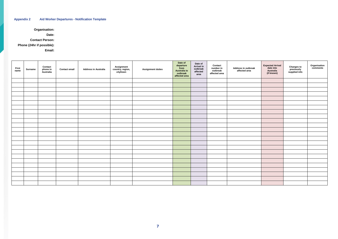#### <span id="page-7-0"></span>**Appendix 2 Aid Worker Departures - Notification Template**

**Organisation:**

**Date:**

**Contact Person:**

**Phone (24hr if possible):**

**Email:**

| <b>First</b><br>name | Surname | <b>Contact</b><br>phone in<br>Australia | <b>Contact email</b> | <b>Address in Australia</b> | Assignment<br>country, region,<br>city/town<br><b>Assignment duties</b> | Date of<br>departure<br>from<br><b>Australia to</b><br>outbreak<br>affected area | Date of<br>Arrival in<br>outbreak<br>affected<br>area | Contact<br>number in<br>outbreak<br>affected area | Address in outbreak<br>affected area | <b>Expected Arrival</b><br>date into<br>Australia<br>(if known) | <b>Changes to<br/>previously<br/>supplied info</b> | Organisation<br>comments |
|----------------------|---------|-----------------------------------------|----------------------|-----------------------------|-------------------------------------------------------------------------|----------------------------------------------------------------------------------|-------------------------------------------------------|---------------------------------------------------|--------------------------------------|-----------------------------------------------------------------|----------------------------------------------------|--------------------------|
|                      |         |                                         |                      |                             |                                                                         |                                                                                  |                                                       |                                                   |                                      |                                                                 |                                                    |                          |
|                      |         |                                         |                      |                             |                                                                         |                                                                                  |                                                       |                                                   |                                      |                                                                 |                                                    |                          |
|                      |         |                                         |                      |                             |                                                                         |                                                                                  |                                                       |                                                   |                                      |                                                                 |                                                    |                          |
|                      |         |                                         |                      |                             |                                                                         |                                                                                  |                                                       |                                                   |                                      |                                                                 |                                                    |                          |
|                      |         |                                         |                      |                             |                                                                         |                                                                                  |                                                       |                                                   |                                      |                                                                 |                                                    |                          |
|                      |         |                                         |                      |                             |                                                                         |                                                                                  |                                                       |                                                   |                                      |                                                                 |                                                    |                          |
|                      |         |                                         |                      |                             |                                                                         |                                                                                  |                                                       |                                                   |                                      |                                                                 |                                                    |                          |
|                      |         |                                         |                      |                             |                                                                         |                                                                                  |                                                       |                                                   |                                      |                                                                 |                                                    |                          |
|                      |         |                                         |                      |                             |                                                                         |                                                                                  |                                                       |                                                   |                                      |                                                                 |                                                    |                          |
|                      |         |                                         |                      |                             |                                                                         |                                                                                  |                                                       |                                                   |                                      |                                                                 |                                                    |                          |
|                      |         |                                         |                      |                             |                                                                         |                                                                                  |                                                       |                                                   |                                      |                                                                 |                                                    |                          |
|                      |         |                                         |                      |                             |                                                                         |                                                                                  |                                                       |                                                   |                                      |                                                                 |                                                    |                          |
|                      |         |                                         |                      |                             |                                                                         |                                                                                  |                                                       |                                                   |                                      |                                                                 |                                                    |                          |
|                      |         |                                         |                      |                             |                                                                         |                                                                                  |                                                       |                                                   |                                      |                                                                 |                                                    |                          |
|                      |         |                                         |                      |                             |                                                                         |                                                                                  |                                                       |                                                   |                                      |                                                                 |                                                    |                          |
|                      |         |                                         |                      |                             |                                                                         |                                                                                  |                                                       |                                                   |                                      |                                                                 |                                                    |                          |
|                      |         |                                         |                      |                             |                                                                         |                                                                                  |                                                       |                                                   |                                      |                                                                 |                                                    |                          |
|                      |         |                                         |                      |                             |                                                                         |                                                                                  |                                                       |                                                   |                                      |                                                                 |                                                    |                          |
|                      |         |                                         |                      |                             |                                                                         |                                                                                  |                                                       |                                                   |                                      |                                                                 |                                                    |                          |
|                      |         |                                         |                      |                             |                                                                         |                                                                                  |                                                       |                                                   |                                      |                                                                 |                                                    |                          |
|                      |         |                                         |                      |                             |                                                                         |                                                                                  |                                                       |                                                   |                                      |                                                                 |                                                    |                          |
|                      |         |                                         |                      |                             |                                                                         |                                                                                  |                                                       |                                                   |                                      |                                                                 |                                                    |                          |
|                      |         |                                         |                      |                             |                                                                         |                                                                                  |                                                       |                                                   |                                      |                                                                 |                                                    |                          |
|                      |         |                                         |                      |                             |                                                                         |                                                                                  |                                                       |                                                   |                                      |                                                                 |                                                    |                          |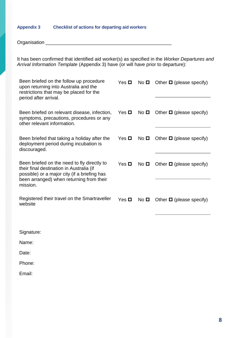#### <span id="page-8-0"></span>**Appendix 3 Checklist of actions for departing aid workers**

Organisation \_\_\_\_\_\_\_\_\_\_\_\_\_\_\_\_\_\_\_\_\_\_\_\_\_\_\_\_\_\_\_\_\_\_\_\_\_\_\_\_\_\_\_\_\_\_\_

It has been confirmed that identified aid worker(s) as specified in the *Worker Departures and*  Arrival Information Template (Appendix 3) have (or will have prior to departure):

| Been briefed on the follow up procedure<br>upon returning into Australia and the<br>restrictions that may be placed for the<br>period after arrival.                                            |                    |                 | Yes $\Box$ No $\Box$ Other $\Box$ (please specify) |
|-------------------------------------------------------------------------------------------------------------------------------------------------------------------------------------------------|--------------------|-----------------|----------------------------------------------------|
| Been briefed on relevant disease, infection,<br>symptoms, precautions, procedures or any<br>other relevant information.                                                                         | Yes $\blacksquare$ | No <sub>D</sub> | Other $\Box$ (please specify)                      |
| Been briefed that taking a holiday after the<br>deployment period during incubation is<br>discouraged.                                                                                          | Yes $\blacksquare$ | No <sub>D</sub> | Other $\Box$ (please specify)                      |
| Been briefed on the need to fly directly to<br>their final destination in Australia (if<br>possible) or a major city (if a briefing has<br>been arranged) when returning from their<br>mission. | Yes $\blacksquare$ |                 | No $\Box$ Other $\Box$ (please specify)            |
| Registered their travel on the Smartraveller<br>website                                                                                                                                         | Yes <b>□</b>       | No <b>□</b>     | Other $\Box$ (please specify)                      |

| Signature: |  |  |
|------------|--|--|
| Name:      |  |  |
| Date:      |  |  |
| Phone:     |  |  |
| Email:     |  |  |
|            |  |  |